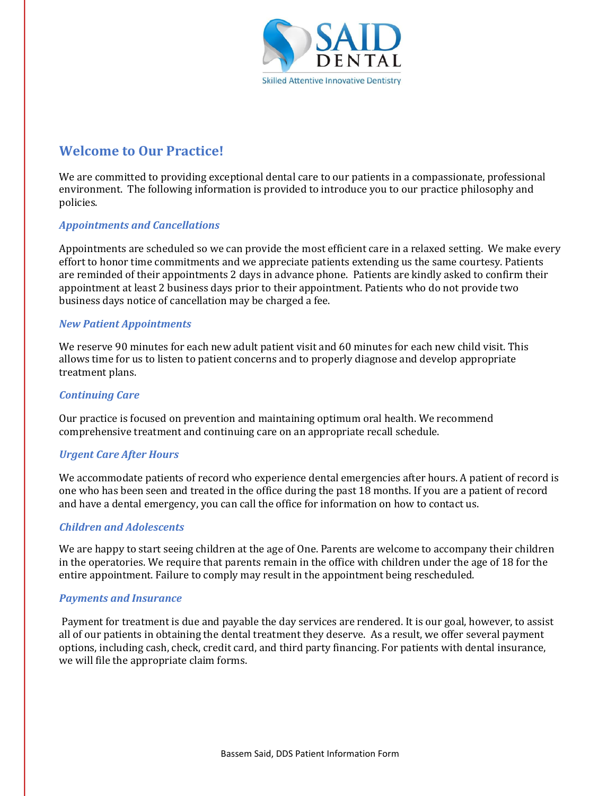

### **Welcome to Our Practice!**

We are committed to providing exceptional dental care to our patients in a compassionate, professional environment. The following information is provided to introduce you to our practice philosophy and policies.

### **Appointments and Cancellations**

Appointments are scheduled so we can provide the most efficient care in a relaxed setting. We make every effort to honor time commitments and we appreciate patients extending us the same courtesy. Patients are reminded of their appointments 2 days in advance phone. Patients are kindly asked to confirm their appointment at least 2 business days prior to their appointment. Patients who do not provide two business days notice of cancellation may be charged a fee.

#### *New Patient Appointments*

We reserve 90 minutes for each new adult patient visit and 60 minutes for each new child visit. This allows time for us to listen to patient concerns and to properly diagnose and develop appropriate treatment plans.

### *Continuing Care*

Our practice is focused on prevention and maintaining optimum oral health. We recommend comprehensive treatment and continuing care on an appropriate recall schedule.

#### *Urgent Care After Hours*

We accommodate patients of record who experience dental emergencies after hours. A patient of record is one who has been seen and treated in the office during the past 18 months. If you are a patient of record and have a dental emergency, you can call the office for information on how to contact us.

#### *Children and Adolescents*

We are happy to start seeing children at the age of One. Parents are welcome to accompany their children in the operatories. We require that parents remain in the office with children under the age of 18 for the entire appointment. Failure to comply may result in the appointment being rescheduled.

#### **Payments and Insurance**

 Payment for treatment is due and payable the day services are rendered. It is our goal, however, to assist all of our patients in obtaining the dental treatment they deserve. As a result, we offer several payment options, including cash, check, credit card, and third party financing. For patients with dental insurance, we will file the appropriate claim forms.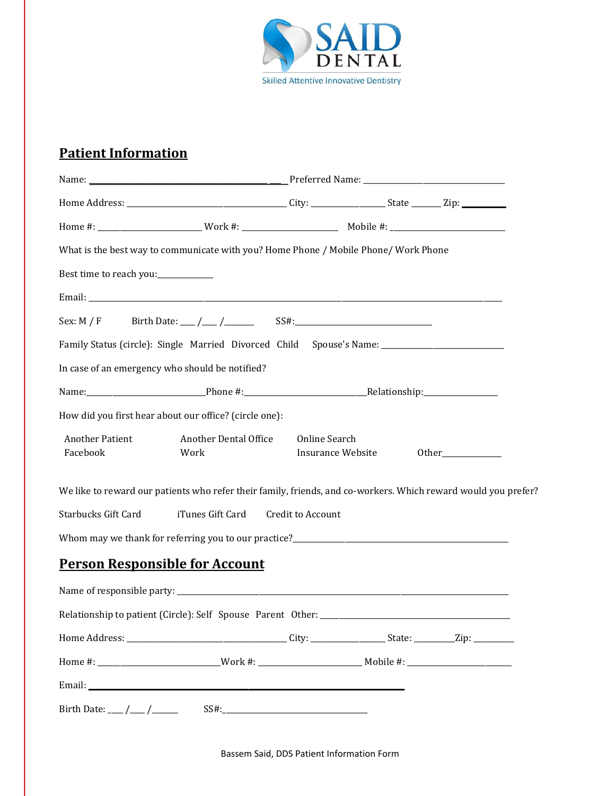

# **Patient Information**

|                                       | What is the best way to communicate with you? Home Phone / Mobile Phone/ Work Phone                            |                                    |  |       |  |
|---------------------------------------|----------------------------------------------------------------------------------------------------------------|------------------------------------|--|-------|--|
| Best time to reach you:____________   |                                                                                                                |                                    |  |       |  |
|                                       |                                                                                                                |                                    |  |       |  |
|                                       |                                                                                                                |                                    |  |       |  |
|                                       | Family Status (circle): Single Married Divorced Child Spouse's Name: _______________________________           |                                    |  |       |  |
|                                       | In case of an emergency who should be notified?                                                                |                                    |  |       |  |
|                                       |                                                                                                                |                                    |  |       |  |
|                                       | How did you first hear about our office? (circle one):                                                         |                                    |  |       |  |
| <b>Another Patient</b><br>Facebook    | Another Dental Office<br>Work                                                                                  | Online Search<br>Insurance Website |  | Other |  |
|                                       | We like to reward our patients who refer their family, friends, and co-workers. Which reward would you prefer? |                                    |  |       |  |
| <b>Starbucks Gift Card</b>            | iTunes Gift Card                                                                                               | Credit to Account                  |  |       |  |
|                                       |                                                                                                                |                                    |  |       |  |
| <b>Person Responsible for Account</b> |                                                                                                                |                                    |  |       |  |
|                                       |                                                                                                                |                                    |  |       |  |
|                                       |                                                                                                                |                                    |  |       |  |
|                                       |                                                                                                                |                                    |  |       |  |
|                                       |                                                                                                                |                                    |  |       |  |
|                                       |                                                                                                                |                                    |  |       |  |
|                                       |                                                                                                                |                                    |  |       |  |

Bassem Said, DDS Patient Information Form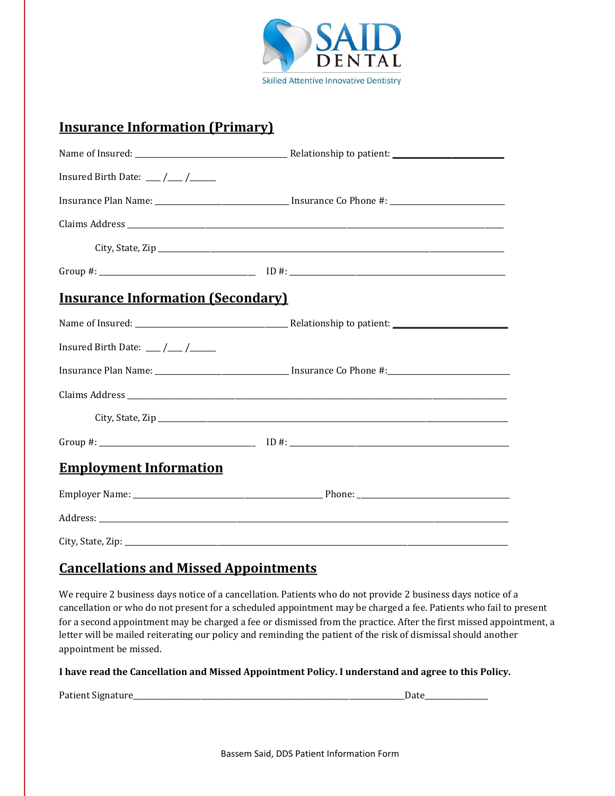

### **Insurance Information (Primary)**

| Insured Birth Date: $\frac{1}{\sqrt{1-\frac{1}{2}}}$ |  |
|------------------------------------------------------|--|
|                                                      |  |
|                                                      |  |
|                                                      |  |
|                                                      |  |
| <b>Insurance Information (Secondary)</b>             |  |
|                                                      |  |
| Insured Birth Date: $\frac{1}{\sqrt{1-\frac{1}{2}}}$ |  |
|                                                      |  |
|                                                      |  |
|                                                      |  |
|                                                      |  |
| <b>Employment Information</b>                        |  |
|                                                      |  |
|                                                      |  |
|                                                      |  |

### **Cancellations and Missed Appointments**

We require 2 business days notice of a cancellation. Patients who do not provide 2 business days notice of a cancellation or who do not present for a scheduled appointment may be charged a fee. Patients who fail to present for a second appointment may be charged a fee or dismissed from the practice. After the first missed appointment, a letter will be mailed reiterating our policy and reminding the patient of the risk of dismissal should another appointment be missed.

#### I have read the Cancellation and Missed Appointment Policy. I understand and agree to this Policy.

Patient Signature\_\_\_\_\_\_\_\_\_\_\_\_\_\_\_\_\_\_\_\_\_\_\_\_\_\_\_\_\_\_\_\_\_\_\_\_\_\_\_\_\_\_\_\_\_\_\_\_\_\_\_\_\_\_\_\_\_\_\_\_\_\_\_\_\_\_\_\_\_\_\_\_\_Date\_\_\_\_\_\_\_\_\_\_\_\_\_\_\_\_\_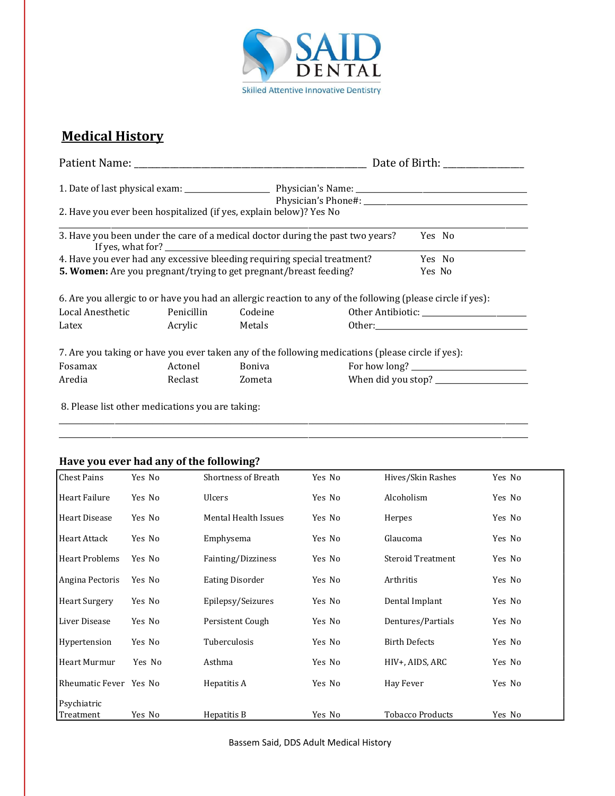

### **Medical History**

|                                                                                |                |         | Date of Birth:                                                                                              |                                                                                                                                                                                                                                |  |  |
|--------------------------------------------------------------------------------|----------------|---------|-------------------------------------------------------------------------------------------------------------|--------------------------------------------------------------------------------------------------------------------------------------------------------------------------------------------------------------------------------|--|--|
|                                                                                |                |         |                                                                                                             |                                                                                                                                                                                                                                |  |  |
|                                                                                |                |         |                                                                                                             |                                                                                                                                                                                                                                |  |  |
| 2. Have you ever been hospitalized (if yes, explain below)? Yes No             |                |         |                                                                                                             |                                                                                                                                                                                                                                |  |  |
| 3. Have you been under the care of a medical doctor during the past two years? |                |         |                                                                                                             | Yes No                                                                                                                                                                                                                         |  |  |
| 4. Have you ever had any excessive bleeding requiring special treatment?       |                |         |                                                                                                             | Yes No                                                                                                                                                                                                                         |  |  |
| 5. Women: Are you pregnant/trying to get pregnant/breast feeding?              |                |         |                                                                                                             | Yes No                                                                                                                                                                                                                         |  |  |
|                                                                                |                |         | 6. Are you allergic to or have you had an allergic reaction to any of the following (please circle if yes): |                                                                                                                                                                                                                                |  |  |
| Local Anesthetic                                                               | Penicillin     | Codeine |                                                                                                             |                                                                                                                                                                                                                                |  |  |
| Latex                                                                          | Acrylic Metals |         |                                                                                                             | Other: and the contract of the contract of the contract of the contract of the contract of the contract of the contract of the contract of the contract of the contract of the contract of the contract of the contract of the |  |  |
|                                                                                |                |         | 7. Are you taking or have you ever taken any of the following medications (please circle if yes):           |                                                                                                                                                                                                                                |  |  |
| Fosamax                                                                        | Actonel        | Boniva  |                                                                                                             |                                                                                                                                                                                                                                |  |  |
| Aredia                                                                         | Reclast        | Zometa  |                                                                                                             |                                                                                                                                                                                                                                |  |  |
|                                                                                |                |         |                                                                                                             |                                                                                                                                                                                                                                |  |  |

\_\_\_\_\_\_\_\_\_\_\_\_\_\_\_\_\_\_\_\_\_\_\_\_\_\_\_\_\_\_\_\_\_\_\_\_\_\_\_\_\_\_\_\_\_\_\_\_\_\_\_\_\_\_\_\_\_\_\_\_\_\_\_\_\_\_\_\_\_\_\_\_\_\_\_\_\_\_\_\_\_\_\_\_\_\_\_\_\_\_\_\_\_\_\_\_\_\_\_\_\_\_\_\_\_\_\_\_\_\_\_\_\_\_\_\_\_\_\_\_\_\_\_\_\_\_ \_\_\_\_\_\_\_\_\_\_\_\_\_\_\_\_\_\_\_\_\_\_\_\_\_\_\_\_\_\_\_\_\_\_\_\_\_\_\_\_\_\_\_\_\_\_\_\_\_\_\_\_\_\_\_\_\_\_\_\_\_\_\_\_\_\_\_\_\_\_\_\_\_\_\_\_\_\_\_\_\_\_\_\_\_\_\_\_\_\_\_\_\_\_\_\_\_\_\_\_\_\_\_\_\_\_\_\_\_\_\_\_\_\_\_\_\_\_\_\_\_\_\_\_\_\_

8. Please list other medications you are taking:

#### **Have you ever had any of the following?**

| <b>Chest Pains</b>     | Yes No | <b>Shortness of Breath</b> | Yes No | Hives/Skin Rashes        | Yes No |
|------------------------|--------|----------------------------|--------|--------------------------|--------|
| Heart Failure          | Yes No | <b>Ulcers</b>              | Yes No | Alcoholism               | Yes No |
| <b>Heart Disease</b>   | Yes No | Mental Health Issues       | Yes No | Herpes                   | Yes No |
| Heart Attack           | Yes No | Emphysema                  | Yes No | Glaucoma                 | Yes No |
| <b>Heart Problems</b>  | Yes No | Fainting/Dizziness         | Yes No | <b>Steroid Treatment</b> | Yes No |
| Angina Pectoris        | Yes No | <b>Eating Disorder</b>     | Yes No | Arthritis                | Yes No |
| <b>Heart Surgery</b>   | Yes No | Epilepsy/Seizures          | Yes No | Dental Implant           | Yes No |
| Liver Disease          | Yes No | Persistent Cough           | Yes No | Dentures/Partials        | Yes No |
| Hypertension           | Yes No | Tuberculosis               | Yes No | <b>Birth Defects</b>     | Yes No |
| Heart Murmur           | Yes No | Asthma                     | Yes No | HIV+, AIDS, ARC          | Yes No |
| Rheumatic Fever Yes No |        | Hepatitis A                | Yes No | Hay Fever                | Yes No |
| Psychiatric            |        |                            |        |                          |        |
| Treatment              | Yes No | Hepatitis B                | Yes No | <b>Tobacco Products</b>  | Yes No |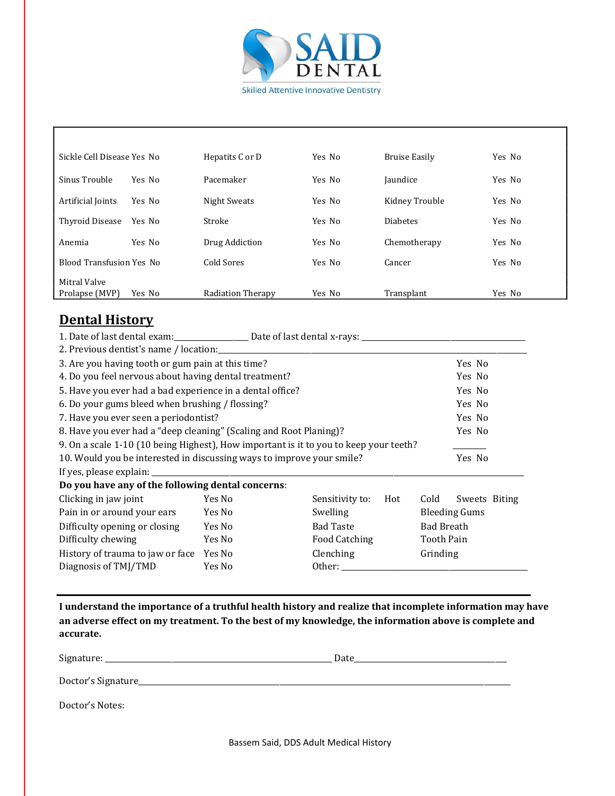

٦

| Sickle Cell Disease Yes No      |        | Hepatits C or D   | Yes No | Bruise Easily   | Yes No |
|---------------------------------|--------|-------------------|--------|-----------------|--------|
| Sinus Trouble                   | Yes No | Pacemaker         | Yes No | Jaundice        | Yes No |
| Artificial Joints               | Yes No | Night Sweats      | Yes No | Kidney Trouble  | Yes No |
| Thyroid Disease                 | Yes No | Stroke            | Yes No | <b>Diabetes</b> | Yes No |
| Anemia                          | Yes No | Drug Addiction    | Yes No | Chemotherapy    | Yes No |
| <b>Blood Transfusion Yes No</b> |        | Cold Sores        | Yes No | Cancer          | Yes No |
| Mitral Valve                    |        |                   |        |                 |        |
| Prolapse (MVP)                  | Yes No | Radiation Therapy | Yes No | Transplant      | Yes No |

### **Dental History**

| 1. Date of last dental exam: Date of last dental x-rays: ________________________                                                                                                                                                                                |                            |                 |     |                      |               |  |
|------------------------------------------------------------------------------------------------------------------------------------------------------------------------------------------------------------------------------------------------------------------|----------------------------|-----------------|-----|----------------------|---------------|--|
|                                                                                                                                                                                                                                                                  |                            |                 |     |                      |               |  |
| 3. Are you having tooth or gum pain at this time?                                                                                                                                                                                                                |                            |                 |     | Yes No               |               |  |
| 4. Do you feel nervous about having dental treatment?                                                                                                                                                                                                            |                            |                 |     | Yes No               |               |  |
| 5. Have you ever had a bad experience in a dental office?                                                                                                                                                                                                        |                            |                 |     | Yes No               |               |  |
| 6. Do your gums bleed when brushing / flossing?                                                                                                                                                                                                                  |                            |                 |     | Yes No               |               |  |
| 7. Have you ever seen a periodontist?<br>Yes No                                                                                                                                                                                                                  |                            |                 |     |                      |               |  |
| 8. Have you ever had a "deep cleaning" (Scaling and Root Planing)?                                                                                                                                                                                               |                            |                 |     |                      | Yes No        |  |
| 9. On a scale 1-10 (10 being Highest), How important is it to you to keep your teeth?                                                                                                                                                                            |                            |                 |     |                      |               |  |
| 10. Would you be interested in discussing ways to improve your smile?                                                                                                                                                                                            |                            |                 |     | Yes No               |               |  |
|                                                                                                                                                                                                                                                                  |                            |                 |     |                      |               |  |
| Do you have any of the following dental concerns:                                                                                                                                                                                                                |                            |                 |     |                      |               |  |
| Clicking in jaw joint                                                                                                                                                                                                                                            | Yes No                     | Sensitivity to: | Hot | Cold                 | Sweets Biting |  |
| Pain in or around your ears                                                                                                                                                                                                                                      | Yes No                     | Swelling        |     | <b>Bleeding Gums</b> |               |  |
| Difficulty opening or closing                                                                                                                                                                                                                                    | <b>Bad Taste</b><br>Yes No |                 |     | <b>Bad Breath</b>    |               |  |
| Difficulty chewing                                                                                                                                                                                                                                               | Yes No                     | Food Catching   |     | Tooth Pain           |               |  |
| History of trauma to jaw or face                                                                                                                                                                                                                                 | Yes No                     | Clenching       |     | Grinding             |               |  |
| Other: the contract of the contract of the contract of the contract of the contract of the contract of the contract of the contract of the contract of the contract of the contract of the contract of the contract of the con<br>Diagnosis of TMJ/TMD<br>Yes No |                            |                 |     |                      |               |  |
|                                                                                                                                                                                                                                                                  |                            |                 |     |                      |               |  |

**I** understand the importance of a truthful health history and realize that incomplete information may have an adverse effect on my treatment. To the best of my knowledge, the information above is complete and **accurate.**

Signature: \_\_\_\_\_\_\_\_\_\_\_\_\_\_\_\_\_\_\_\_\_\_\_\_\_\_\_\_\_\_\_\_\_\_\_\_\_\_\_\_\_\_\_\_\_\_\_\_\_\_\_\_\_\_\_\_\_\_\_\_\_ Date\_\_\_\_\_\_\_\_\_\_\_\_\_\_\_\_\_\_\_\_\_\_\_\_\_\_\_\_\_\_\_\_\_\_\_\_\_\_\_\_\_

Doctor's Signature\_\_\_\_\_\_\_\_\_\_\_\_\_\_\_\_\_\_\_\_\_\_\_\_\_\_\_\_\_\_\_\_\_\_\_\_\_\_\_\_\_\_\_\_\_\_\_\_\_\_\_\_\_\_\_\_\_\_\_\_\_\_\_\_\_\_\_\_\_\_\_\_\_\_\_\_\_\_\_\_\_\_\_\_\_\_\_\_\_\_\_\_\_\_\_\_\_\_\_\_

Doctor's Notes: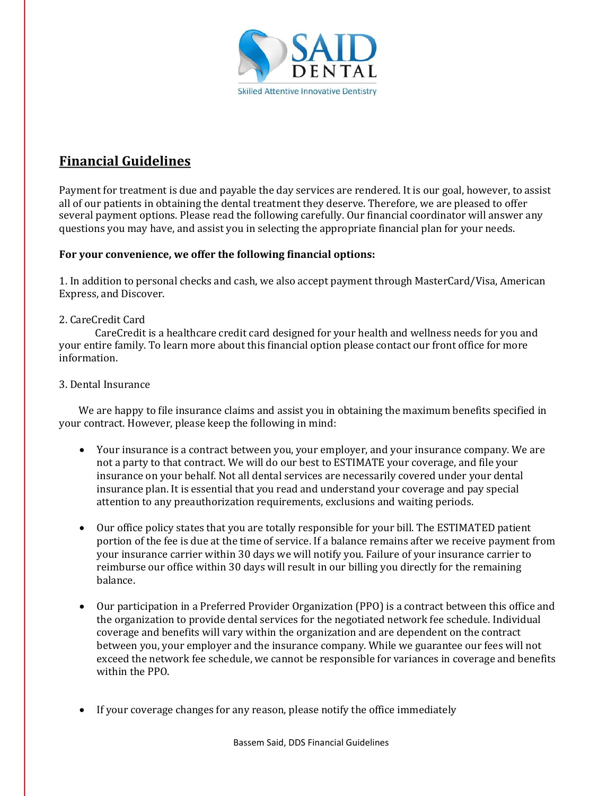

# **Financial Guidelines**

Payment for treatment is due and payable the day services are rendered. It is our goal, however, to assist all of our patients in obtaining the dental treatment they deserve. Therefore, we are pleased to offer several payment options. Please read the following carefully. Our financial coordinator will answer any questions you may have, and assist you in selecting the appropriate financial plan for your needs.

### For your convenience, we offer the following financial options:

1. In addition to personal checks and cash, we also accept payment through MasterCard/Visa, American Express, and Discover.

### 2. CareCredit Card

CareCredit is a healthcare credit card designed for your health and wellness needs for you and your entire family. To learn more about this financial option please contact our front office for more information.

### 3. Dental Insurance

We are happy to file insurance claims and assist you in obtaining the maximum benefits specified in your contract. However, please keep the following in mind:

- Your insurance is a contract between you, your employer, and your insurance company. We are not a party to that contract. We will do our best to ESTIMATE your coverage, and file your insurance on your behalf. Not all dental services are necessarily covered under your dental insurance plan. It is essential that you read and understand your coverage and pay special attention to any preauthorization requirements, exclusions and waiting periods.
- Our office policy states that you are totally responsible for your bill. The ESTIMATED patient portion of the fee is due at the time of service. If a balance remains after we receive payment from your insurance carrier within 30 days we will notify you. Failure of your insurance carrier to reimburse our office within 30 days will result in our billing you directly for the remaining balance.
- Our participation in a Preferred Provider Organization (PPO) is a contract between this office and the organization to provide dental services for the negotiated network fee schedule. Individual coverage and benefits will vary within the organization and are dependent on the contract between you, your employer and the insurance company. While we guarantee our fees will not exceed the network fee schedule, we cannot be responsible for variances in coverage and benefits within the PPO.
- If your coverage changes for any reason, please notify the office immediately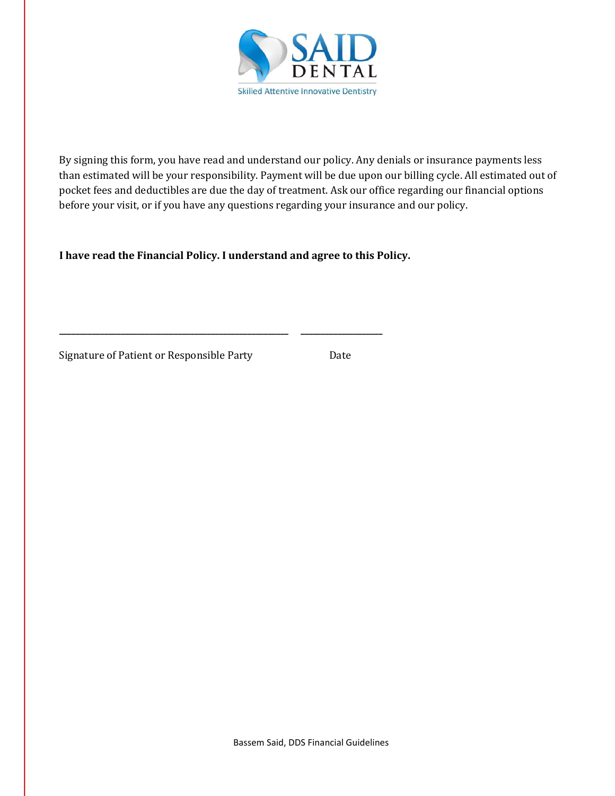

By signing this form, you have read and understand our policy. Any denials or insurance payments less than estimated will be your responsibility. Payment will be due upon our billing cycle. All estimated out of pocket fees and deductibles are due the day of treatment. Ask our office regarding our financial options before your visit, or if you have any questions regarding your insurance and our policy.

I have read the Financial Policy. I understand and agree to this Policy.

**\_\_\_\_\_\_\_\_\_\_\_\_\_\_\_\_\_\_\_\_\_\_\_\_\_\_\_\_\_\_\_\_\_\_\_\_\_\_\_\_\_\_\_\_\_\_\_\_\_\_\_\_\_\_\_\_ \_\_\_\_\_\_\_\_\_\_\_\_\_\_\_\_\_\_\_\_**

Signature of Patient or Responsible Party Date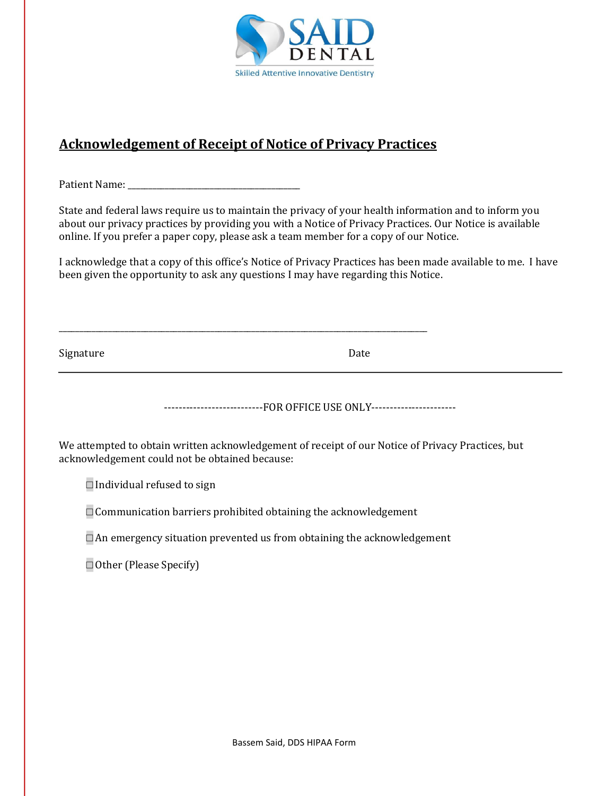

### **Acknowledgement of Receipt of Notice of Privacy Practices**

\_\_\_\_\_\_\_\_\_\_\_\_\_\_\_\_\_\_\_\_\_\_\_\_\_\_\_\_\_\_\_\_\_\_\_\_\_\_\_\_\_\_\_\_\_\_\_\_\_\_\_\_\_\_\_\_\_\_\_\_\_\_\_\_\_\_\_\_\_\_\_\_\_\_\_\_\_\_\_\_\_\_\_\_\_\_\_\_\_\_

Patient Name: \_\_\_\_\_\_\_\_\_\_\_\_\_\_\_\_\_\_\_\_\_\_\_\_\_\_\_\_\_\_\_\_\_\_\_\_\_\_\_\_\_\_

State and federal laws require us to maintain the privacy of your health information and to inform you about our privacy practices by providing you with a Notice of Privacy Practices. Our Notice is available online. If you prefer a paper copy, please ask a team member for a copy of our Notice.

I acknowledge that a copy of this office's Notice of Privacy Practices has been made available to me. I have been given the opportunity to ask any questions I may have regarding this Notice.

Signature Date

---------------------------FOR OFFICE USE ONLY-----------------------

We attempted to obtain written acknowledgement of receipt of our Notice of Privacy Practices, but acknowledgement could not be obtained because:

 $\square$  Individual refused to sign

 $\square$  Communication barriers prohibited obtaining the acknowledgement

 $\Box$  An emergency situation prevented us from obtaining the acknowledgement

□ Other (Please Specify)